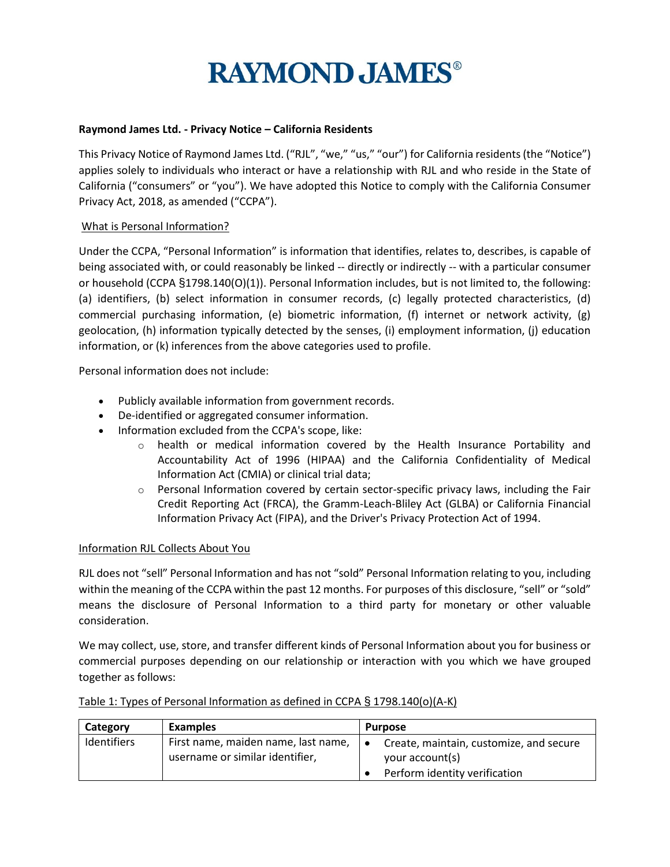#### **Raymond James Ltd. - Privacy Notice – California Residents**

This Privacy Notice of Raymond James Ltd. ("RJL", "we," "us," "our") for California residents (the "Notice") applies solely to individuals who interact or have a relationship with RJL and who reside in the State of California ("consumers" or "you"). We have adopted this Notice to comply with the California Consumer Privacy Act, 2018, as amended ("CCPA").

#### What is Personal Information?

Under the CCPA, "Personal Information" is information that identifies, relates to, describes, is capable of being associated with, or could reasonably be linked -- directly or indirectly -- with a particular consumer or household (CCPA §1798.140(O)(1)). Personal Information includes, but is not limited to, the following: (a) identifiers, (b) select information in consumer records, (c) legally protected characteristics, (d) commercial purchasing information, (e) biometric information, (f) internet or network activity, (g) geolocation, (h) information typically detected by the senses, (i) employment information, (j) education information, or (k) inferences from the above categories used to profile.

Personal information does not include:

- Publicly available information from government records.
- De-identified or aggregated consumer information.
- Information excluded from the CCPA's scope, like:
	- o health or medical information covered by the Health Insurance Portability and Accountability Act of 1996 (HIPAA) and the California Confidentiality of Medical Information Act (CMIA) or clinical trial data;
	- $\circ$  Personal Information covered by certain sector-specific privacy laws, including the Fair Credit Reporting Act (FRCA), the Gramm-Leach-Bliley Act (GLBA) or California Financial Information Privacy Act (FIPA), and the Driver's Privacy Protection Act of 1994.

#### Information RJL Collects About You

RJL does not "sell" Personal Information and has not "sold" Personal Information relating to you, including within the meaning of the CCPA within the past 12 months. For purposes of this disclosure, "sell" or "sold" means the disclosure of Personal Information to a third party for monetary or other valuable consideration.

We may collect, use, store, and transfer different kinds of Personal Information about you for business or commercial purposes depending on our relationship or interaction with you which we have grouped together as follows:

| Category    | <b>Examples</b>                                                        | <b>Purpose</b>                                                                                           |  |
|-------------|------------------------------------------------------------------------|----------------------------------------------------------------------------------------------------------|--|
| Identifiers | First name, maiden name, last name,<br>username or similar identifier, | Create, maintain, customize, and secure<br>$\bullet$<br>your account(s)<br>Perform identity verification |  |

#### Table 1: Types of Personal Information as defined in CCPA § 1798.140(o)(A-K)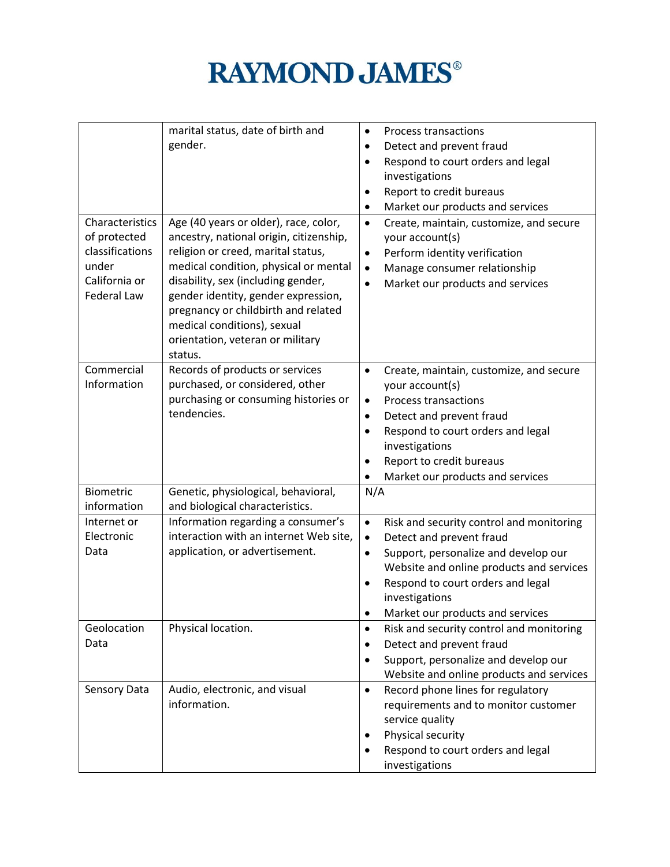|                    | marital status, date of birth and       | $\bullet$ | <b>Process transactions</b>              |
|--------------------|-----------------------------------------|-----------|------------------------------------------|
|                    | gender.                                 | $\bullet$ | Detect and prevent fraud                 |
|                    |                                         | $\bullet$ | Respond to court orders and legal        |
|                    |                                         |           | investigations                           |
|                    |                                         | $\bullet$ | Report to credit bureaus                 |
|                    |                                         | $\bullet$ | Market our products and services         |
| Characteristics    | Age (40 years or older), race, color,   | $\bullet$ | Create, maintain, customize, and secure  |
| of protected       | ancestry, national origin, citizenship, |           | your account(s)                          |
| classifications    | religion or creed, marital status,      | $\bullet$ | Perform identity verification            |
| under              | medical condition, physical or mental   | $\bullet$ | Manage consumer relationship             |
| California or      | disability, sex (including gender,      | $\bullet$ | Market our products and services         |
| <b>Federal Law</b> | gender identity, gender expression,     |           |                                          |
|                    | pregnancy or childbirth and related     |           |                                          |
|                    | medical conditions), sexual             |           |                                          |
|                    | orientation, veteran or military        |           |                                          |
|                    | status.                                 |           |                                          |
| Commercial         | Records of products or services         | $\bullet$ | Create, maintain, customize, and secure  |
| Information        | purchased, or considered, other         |           | your account(s)                          |
|                    | purchasing or consuming histories or    | $\bullet$ | <b>Process transactions</b>              |
|                    | tendencies.                             | $\bullet$ | Detect and prevent fraud                 |
|                    |                                         | $\bullet$ | Respond to court orders and legal        |
|                    |                                         |           | investigations                           |
|                    |                                         | $\bullet$ | Report to credit bureaus                 |
|                    |                                         |           | Market our products and services         |
| Biometric          | Genetic, physiological, behavioral,     | N/A       |                                          |
| information        | and biological characteristics.         |           |                                          |
| Internet or        | Information regarding a consumer's      | $\bullet$ | Risk and security control and monitoring |
| Electronic         | interaction with an internet Web site,  | $\bullet$ | Detect and prevent fraud                 |
| Data               | application, or advertisement.          | $\bullet$ | Support, personalize and develop our     |
|                    |                                         |           | Website and online products and services |
|                    |                                         | $\bullet$ | Respond to court orders and legal        |
|                    |                                         |           | investigations                           |
|                    |                                         |           | Market our products and services         |
| Geolocation        | Physical location.                      | $\bullet$ | Risk and security control and monitoring |
| Data               |                                         | $\bullet$ | Detect and prevent fraud                 |
|                    |                                         | $\bullet$ | Support, personalize and develop our     |
|                    |                                         |           | Website and online products and services |
| Sensory Data       | Audio, electronic, and visual           | $\bullet$ | Record phone lines for regulatory        |
|                    | information.                            |           | requirements and to monitor customer     |
|                    |                                         |           | service quality                          |
|                    |                                         | $\bullet$ | Physical security                        |
|                    |                                         |           | Respond to court orders and legal        |
|                    |                                         |           | investigations                           |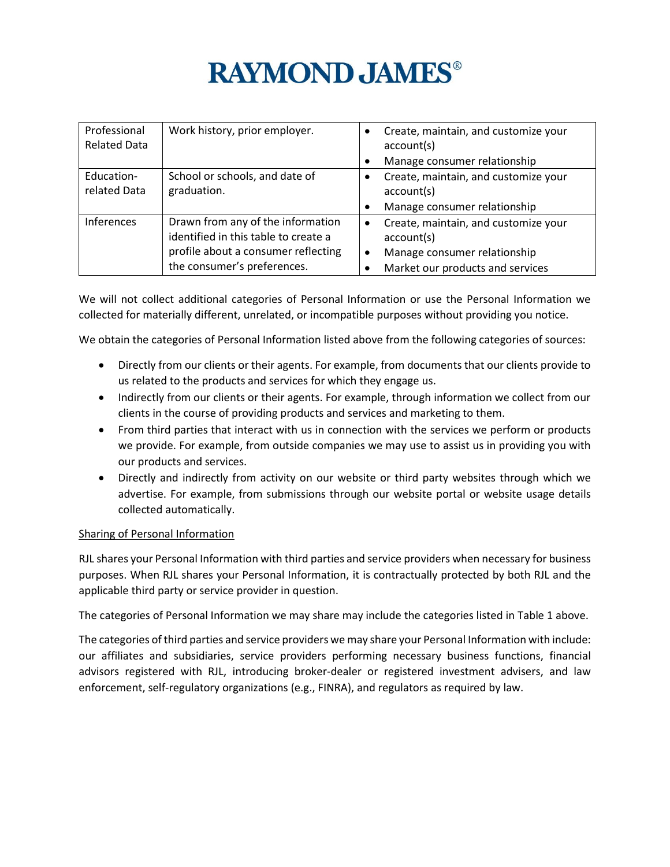| Professional<br><b>Related Data</b> | Work history, prior employer.                                                                                                                   |                        | Create, maintain, and customize your<br>account(s)                                                                     |
|-------------------------------------|-------------------------------------------------------------------------------------------------------------------------------------------------|------------------------|------------------------------------------------------------------------------------------------------------------------|
|                                     |                                                                                                                                                 |                        | Manage consumer relationship                                                                                           |
| Education-<br>related Data          | School or schools, and date of<br>graduation.                                                                                                   |                        | Create, maintain, and customize your<br>account(s)                                                                     |
|                                     |                                                                                                                                                 |                        | Manage consumer relationship                                                                                           |
| <b>Inferences</b>                   | Drawn from any of the information<br>identified in this table to create a<br>profile about a consumer reflecting<br>the consumer's preferences. | $\bullet$<br>$\bullet$ | Create, maintain, and customize your<br>account(s)<br>Manage consumer relationship<br>Market our products and services |

We will not collect additional categories of Personal Information or use the Personal Information we collected for materially different, unrelated, or incompatible purposes without providing you notice.

We obtain the categories of Personal Information listed above from the following categories of sources:

- Directly from our clients or their agents. For example, from documents that our clients provide to us related to the products and services for which they engage us.
- Indirectly from our clients or their agents. For example, through information we collect from our clients in the course of providing products and services and marketing to them.
- From third parties that interact with us in connection with the services we perform or products we provide. For example, from outside companies we may use to assist us in providing you with our products and services.
- Directly and indirectly from activity on our website or third party websites through which we advertise. For example, from submissions through our website portal or website usage details collected automatically.

### Sharing of Personal Information

RJL shares your Personal Information with third parties and service providers when necessary for business purposes. When RJL shares your Personal Information, it is contractually protected by both RJL and the applicable third party or service provider in question.

The categories of Personal Information we may share may include the categories listed in Table 1 above.

The categories of third parties and service providers we may share your Personal Information with include: our affiliates and subsidiaries, service providers performing necessary business functions, financial advisors registered with RJL, introducing broker-dealer or registered investment advisers, and law enforcement, self-regulatory organizations (e.g., FINRA), and regulators as required by law.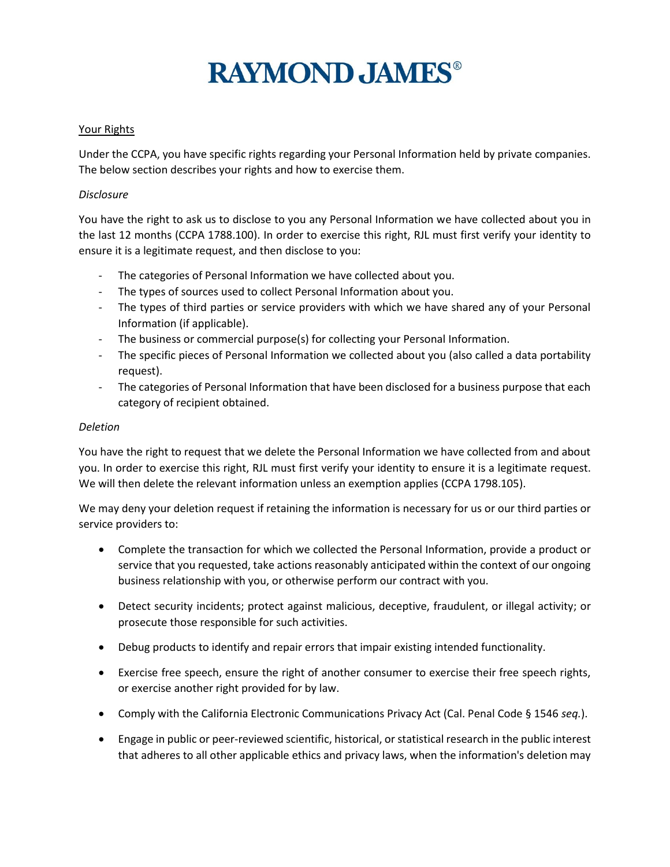#### Your Rights

Under the CCPA, you have specific rights regarding your Personal Information held by private companies. The below section describes your rights and how to exercise them.

#### *Disclosure*

You have the right to ask us to disclose to you any Personal Information we have collected about you in the last 12 months (CCPA 1788.100). In order to exercise this right, RJL must first verify your identity to ensure it is a legitimate request, and then disclose to you:

- The categories of Personal Information we have collected about you.
- The types of sources used to collect Personal Information about you.
- The types of third parties or service providers with which we have shared any of your Personal Information (if applicable).
- The business or commercial purpose(s) for collecting your Personal Information.
- The specific pieces of Personal Information we collected about you (also called a data portability request).
- The categories of Personal Information that have been disclosed for a business purpose that each category of recipient obtained.

#### *Deletion*

You have the right to request that we delete the Personal Information we have collected from and about you. In order to exercise this right, RJL must first verify your identity to ensure it is a legitimate request. We will then delete the relevant information unless an exemption applies (CCPA 1798.105).

We may deny your deletion request if retaining the information is necessary for us or our third parties or service providers to:

- Complete the transaction for which we collected the Personal Information, provide a product or service that you requested, take actions reasonably anticipated within the context of our ongoing business relationship with you, or otherwise perform our contract with you.
- Detect security incidents; protect against malicious, deceptive, fraudulent, or illegal activity; or prosecute those responsible for such activities.
- Debug products to identify and repair errors that impair existing intended functionality.
- Exercise free speech, ensure the right of another consumer to exercise their free speech rights, or exercise another right provided for by law.
- Comply with the California Electronic Communications Privacy Act (Cal. Penal Code § 1546 *seq.*).
- Engage in public or peer-reviewed scientific, historical, or statistical research in the public interest that adheres to all other applicable ethics and privacy laws, when the information's deletion may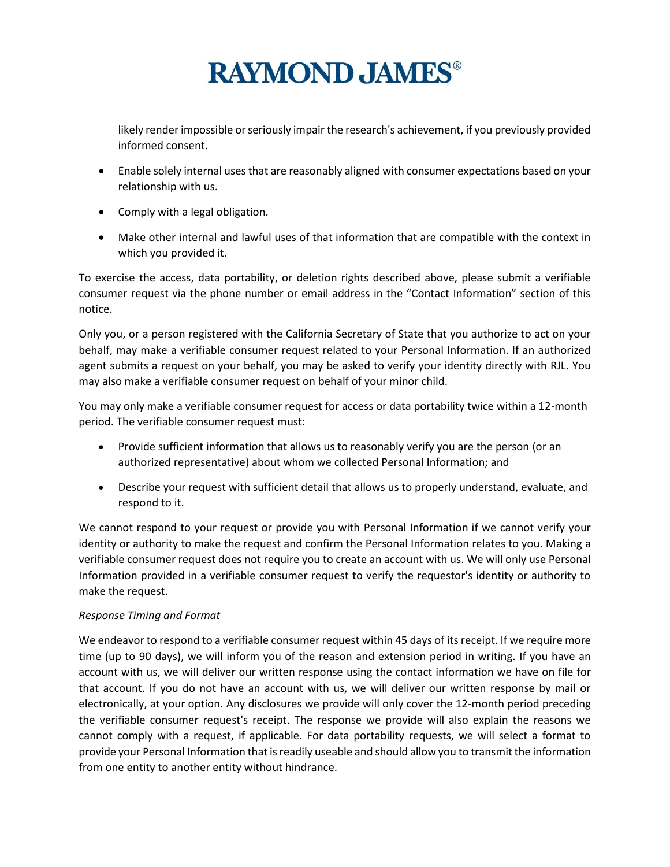likely render impossible or seriously impair the research's achievement, if you previously provided informed consent.

- Enable solely internal uses that are reasonably aligned with consumer expectations based on your relationship with us.
- Comply with a legal obligation.
- Make other internal and lawful uses of that information that are compatible with the context in which you provided it.

To exercise the access, data portability, or deletion rights described above, please submit a verifiable consumer request via the phone number or email address in the "Contact Information" section of this notice.

Only you, or a person registered with the California Secretary of State that you authorize to act on your behalf, may make a verifiable consumer request related to your Personal Information. If an authorized agent submits a request on your behalf, you may be asked to verify your identity directly with RJL. You may also make a verifiable consumer request on behalf of your minor child.

You may only make a verifiable consumer request for access or data portability twice within a 12-month period. The verifiable consumer request must:

- Provide sufficient information that allows us to reasonably verify you are the person (or an authorized representative) about whom we collected Personal Information; and
- Describe your request with sufficient detail that allows us to properly understand, evaluate, and respond to it.

We cannot respond to your request or provide you with Personal Information if we cannot verify your identity or authority to make the request and confirm the Personal Information relates to you. Making a verifiable consumer request does not require you to create an account with us. We will only use Personal Information provided in a verifiable consumer request to verify the requestor's identity or authority to make the request.

### *Response Timing and Format*

We endeavor to respond to a verifiable consumer request within 45 days of its receipt. If we require more time (up to 90 days), we will inform you of the reason and extension period in writing. If you have an account with us, we will deliver our written response using the contact information we have on file for that account. If you do not have an account with us, we will deliver our written response by mail or electronically, at your option. Any disclosures we provide will only cover the 12-month period preceding the verifiable consumer request's receipt. The response we provide will also explain the reasons we cannot comply with a request, if applicable. For data portability requests, we will select a format to provide your Personal Information that is readily useable and should allow you to transmit the information from one entity to another entity without hindrance.